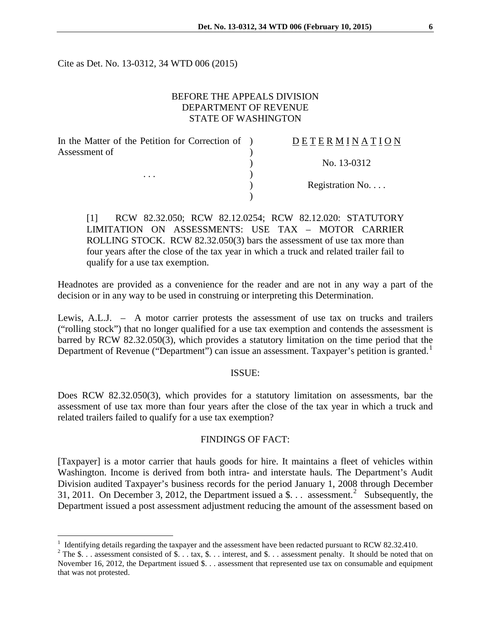Cite as Det. No. 13-0312, 34 WTD 006 (2015)

# BEFORE THE APPEALS DIVISION DEPARTMENT OF REVENUE STATE OF WASHINGTON

| In the Matter of the Petition for Correction of ) | DETERMINATION    |
|---------------------------------------------------|------------------|
| Assessment of<br>$\cdots$                         |                  |
|                                                   | No. 13-0312      |
|                                                   |                  |
|                                                   | Registration No. |
|                                                   |                  |

[1] RCW 82.32.050; RCW 82.12.0254; RCW 82.12.020: STATUTORY LIMITATION ON ASSESSMENTS: USE TAX – MOTOR CARRIER ROLLING STOCK. RCW 82.32.050(3) bars the assessment of use tax more than four years after the close of the tax year in which a truck and related trailer fail to qualify for a use tax exemption.

Headnotes are provided as a convenience for the reader and are not in any way a part of the decision or in any way to be used in construing or interpreting this Determination.

Lewis, A.L.J. – A motor carrier protests the assessment of use tax on trucks and trailers ("rolling stock") that no longer qualified for a use tax exemption and contends the assessment is barred by RCW 82.32.050(3), which provides a statutory limitation on the time period that the Department of Revenue ("Department") can issue an assessment. Taxpayer's petition is granted.<sup>[1](#page-0-0)</sup>

#### ISSUE:

Does RCW 82.32.050(3), which provides for a statutory limitation on assessments, bar the assessment of use tax more than four years after the close of the tax year in which a truck and related trailers failed to qualify for a use tax exemption?

#### FINDINGS OF FACT:

[Taxpayer] is a motor carrier that hauls goods for hire. It maintains a fleet of vehicles within Washington. Income is derived from both intra- and interstate hauls. The Department's Audit Division audited Taxpayer's business records for the period January 1, 2008 through December 31, [2](#page-0-1)011. On December 3, 2012, the Department issued a \$... assessment.<sup>2</sup> Subsequently, the Department issued a post assessment adjustment reducing the amount of the assessment based on

 $\overline{a}$ 

<span id="page-0-0"></span><sup>&</sup>lt;sup>1</sup> Identifying details regarding the taxpayer and the assessment have been redacted pursuant to RCW 82.32.410.<br><sup>2</sup> The \$... assessment consisted of \$... tax, \$... interest, and \$... assessment penalty. It should be noted

<span id="page-0-1"></span>November 16, 2012, the Department issued \$. . . assessment that represented use tax on consumable and equipment that was not protested.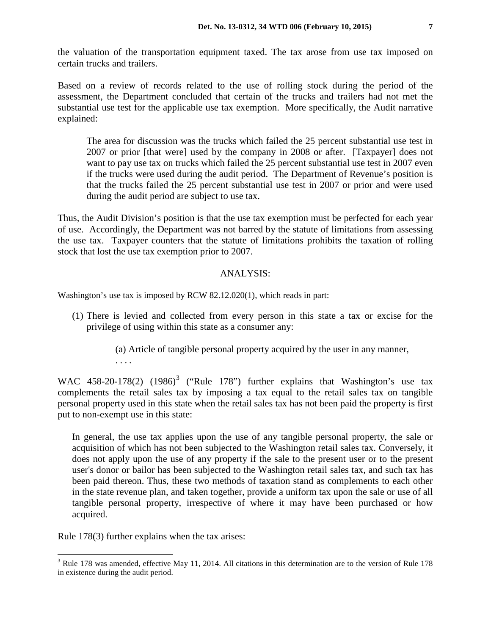the valuation of the transportation equipment taxed. The tax arose from use tax imposed on certain trucks and trailers.

Based on a review of records related to the use of rolling stock during the period of the assessment, the Department concluded that certain of the trucks and trailers had not met the substantial use test for the applicable use tax exemption. More specifically, the Audit narrative explained:

The area for discussion was the trucks which failed the 25 percent substantial use test in 2007 or prior [that were] used by the company in 2008 or after. [Taxpayer] does not want to pay use tax on trucks which failed the 25 percent substantial use test in 2007 even if the trucks were used during the audit period. The Department of Revenue's position is that the trucks failed the 25 percent substantial use test in 2007 or prior and were used during the audit period are subject to use tax.

Thus, the Audit Division's position is that the use tax exemption must be perfected for each year of use. Accordingly, the Department was not barred by the statute of limitations from assessing the use tax. Taxpayer counters that the statute of limitations prohibits the taxation of rolling stock that lost the use tax exemption prior to 2007.

## ANALYSIS:

Washington's use tax is imposed by RCW 82.12.020(1), which reads in part:

- (1) There is levied and collected from every person in this state a tax or excise for the privilege of using within this state as a consumer any:
	- (a) Article of tangible personal property acquired by the user in any manner, . . . .

WAC 458-20-178(2)  $(1986)^3$  $(1986)^3$  ("Rule 178") further explains that Washington's use tax complements the retail sales tax by imposing a tax equal to the retail sales tax on tangible personal property used in this state when the retail sales tax has not been paid the property is first put to non-exempt use in this state:

In general, the use tax applies upon the use of any tangible personal property, the sale or acquisition of which has not been subjected to the Washington retail sales tax. Conversely, it does not apply upon the use of any property if the sale to the present user or to the present user's donor or bailor has been subjected to the Washington retail sales tax, and such tax has been paid thereon. Thus, these two methods of taxation stand as complements to each other in the state revenue plan, and taken together, provide a uniform tax upon the sale or use of all tangible personal property, irrespective of where it may have been purchased or how acquired.

Rule 178(3) further explains when the tax arises:

 $\overline{a}$ 

<span id="page-1-0"></span> $3$  Rule 178 was amended, effective May 11, 2014. All citations in this determination are to the version of Rule 178 in existence during the audit period.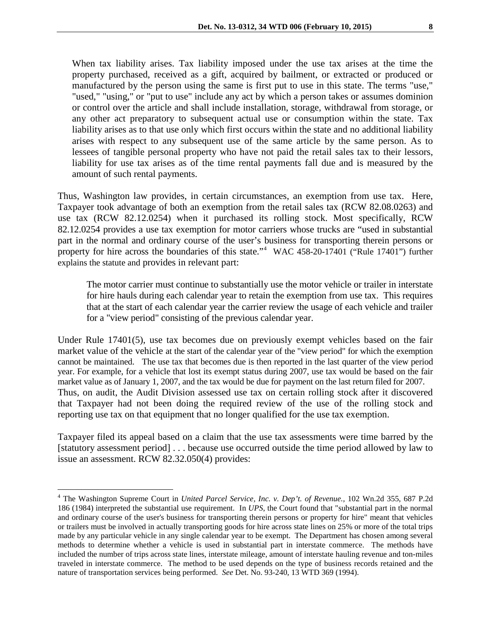When tax liability arises. Tax liability imposed under the use tax arises at the time the property purchased, received as a gift, acquired by bailment, or extracted or produced or manufactured by the person using the same is first put to use in this state. The terms "use," "used," "using," or "put to use" include any act by which a person takes or assumes dominion or control over the article and shall include installation, storage, withdrawal from storage, or any other act preparatory to subsequent actual use or consumption within the state. Tax liability arises as to that use only which first occurs within the state and no additional liability arises with respect to any subsequent use of the same article by the same person. As to lessees of tangible personal property who have not paid the retail sales tax to their lessors, liability for use tax arises as of the time rental payments fall due and is measured by the amount of such rental payments.

Thus, Washington law provides, in certain circumstances, an exemption from use tax. Here, Taxpayer took advantage of both an exemption from the retail sales tax (RCW 82.08.0263) and use tax (RCW 82.12.0254) when it purchased its rolling stock. Most specifically, RCW 82.12.0254 provides a use tax exemption for motor carriers whose trucks are "used in substantial part in the normal and ordinary course of the user's business for transporting therein persons or property for hire across the boundaries of this state."<sup>[4](#page-2-0)</sup> WAC 458-20-17401 ("Rule 17401") further explains the statute and provides in relevant part:

The motor carrier must continue to substantially use the motor vehicle or trailer in interstate for hire hauls during each calendar year to retain the exemption from use tax. This requires that at the start of each calendar year the carrier review the usage of each vehicle and trailer for a "view period" consisting of the previous calendar year.

Under Rule 17401(5), use tax becomes due on previously exempt vehicles based on the fair market value of the vehicle at the start of the calendar year of the "view period" for which the exemption cannot be maintained. The use tax that becomes due is then reported in the last quarter of the view period year. For example, for a vehicle that lost its exempt status during 2007, use tax would be based on the fair market value as of January 1, 2007, and the tax would be due for payment on the last return filed for 2007. Thus, on audit, the Audit Division assessed use tax on certain rolling stock after it discovered that Taxpayer had not been doing the required review of the use of the rolling stock and reporting use tax on that equipment that no longer qualified for the use tax exemption.

Taxpayer filed its appeal based on a claim that the use tax assessments were time barred by the [statutory assessment period] . . . because use occurred outside the time period allowed by law to issue an assessment. RCW 82.32.050(4) provides:

 $\overline{a}$ 

<span id="page-2-0"></span><sup>4</sup> The Washington Supreme Court in *United Parcel Service, Inc. v. Dep't. of Revenue.,* 102 Wn.2d 355, 687 P.2d 186 (1984) interpreted the substantial use requirement. In *UPS*, the Court found that "substantial part in the normal and ordinary course of the user's business for transporting therein persons or property for hire" meant that vehicles or trailers must be involved in actually transporting goods for hire across state lines on 25% or more of the total trips made by any particular vehicle in any single calendar year to be exempt. The Department has chosen among several methods to determine whether a vehicle is used in substantial part in interstate commerce. The methods have included the number of trips across state lines, interstate mileage, amount of interstate hauling revenue and ton-miles traveled in interstate commerce. The method to be used depends on the type of business records retained and the nature of transportation services being performed. *See* Det. No. 93-240, 13 WTD 369 (1994).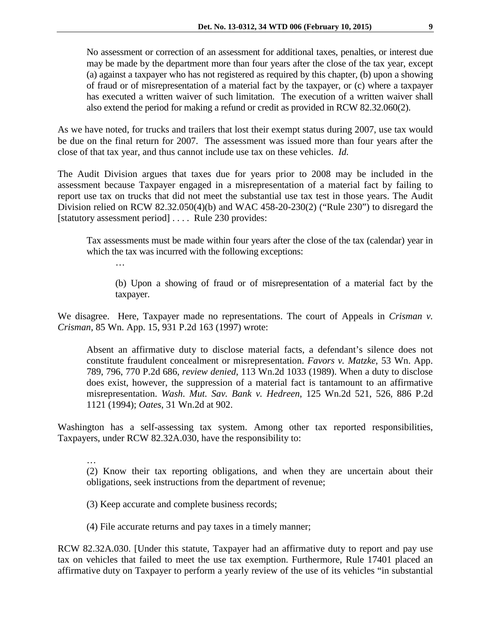No assessment or correction of an assessment for additional taxes, penalties, or interest due may be made by the department more than four years after the close of the tax year, except (a) against a taxpayer who has not registered as required by this chapter, (b) upon a showing of fraud or of misrepresentation of a material fact by the taxpayer, or (c) where a taxpayer has executed a written waiver of such limitation. The execution of a written waiver shall also extend the period for making a refund or credit as provided in RCW 82.32.060(2).

As we have noted, for trucks and trailers that lost their exempt status during 2007, use tax would be due on the final return for 2007. The assessment was issued more than four years after the close of that tax year, and thus cannot include use tax on these vehicles. *Id.*

The Audit Division argues that taxes due for years prior to 2008 may be included in the assessment because Taxpayer engaged in a misrepresentation of a material fact by failing to report use tax on trucks that did not meet the substantial use tax test in those years. The Audit Division relied on RCW 82.32.050(4)(b) and WAC 458-20-230(2) ("Rule 230") to disregard the [statutory assessment period] .... Rule 230 provides:

Tax assessments must be made within four years after the close of the tax (calendar) year in which the tax was incurred with the following exceptions:

…

…

(b) Upon a showing of fraud or of misrepresentation of a material fact by the taxpayer.

We disagree. Here, Taxpayer made no representations. The court of Appeals in *Crisman v. Crisman*, 85 Wn. App. 15, 931 P.2d 163 (1997) wrote:

Absent an affirmative duty to disclose material facts, a defendant's silence does not constitute fraudulent concealment or misrepresentation. *Favors v. Matzke*, 53 Wn. App. 789, 796, 770 P.2d 686, *review denied*, 113 Wn.2d 1033 (1989). When a duty to disclose does exist, however, the suppression of a material fact is tantamount to an affirmative misrepresentation. *Wash. Mut. Sav. Bank v. Hedreen*, 125 Wn.2d 521, 526, 886 P.2d 1121 (1994); *Oates*, 31 Wn.2d at 902.

Washington has a self-assessing tax system. Among other tax reported responsibilities, Taxpayers, under RCW 82.32A.030, have the responsibility to:

(2) Know their tax reporting obligations, and when they are uncertain about their obligations, seek instructions from the department of revenue;

(3) Keep accurate and complete business records;

(4) File accurate returns and pay taxes in a timely manner;

RCW 82.32A.030. [Under this statute, Taxpayer had an affirmative duty to report and pay use tax on vehicles that failed to meet the use tax exemption. Furthermore, Rule 17401 placed an affirmative duty on Taxpayer to perform a yearly review of the use of its vehicles "in substantial